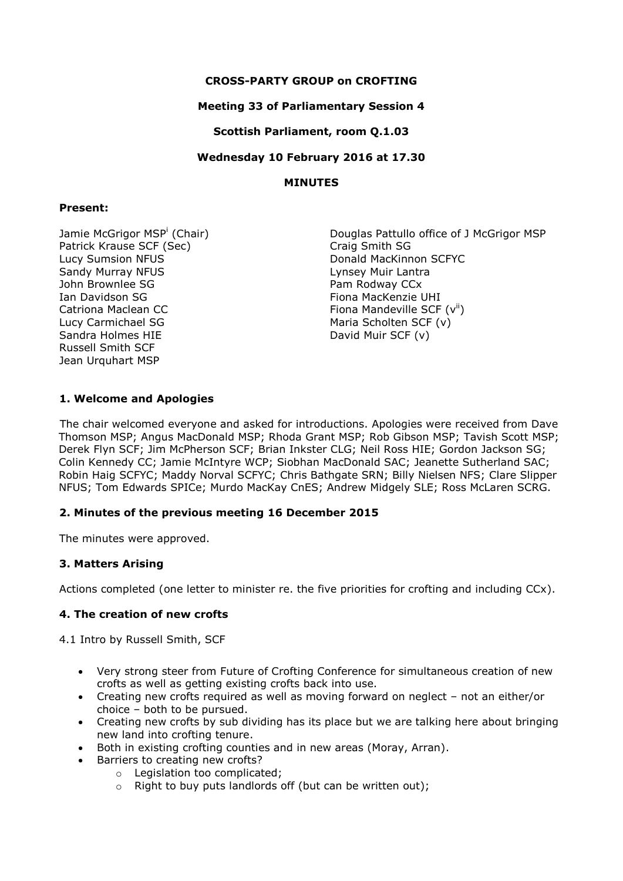# **CROSS-PARTY GROUP on CROFTING**

### **Meeting 33 of Parliamentary Session 4**

# **Scottish Parliament, room Q.1.03**

**Wednesday 10 February 2016 at 17.30**

### **MINUTES**

### **Present:**

Jamie McGrigor MSP<sup>i</sup> (Chair) Patrick Krause SCF (Sec) Lucy Sumsion NFUS Sandy Murray NFUS John Brownlee SG Ian Davidson SG Catriona Maclean CC Lucy Carmichael SG Sandra Holmes HIE Russell Smith SCF Jean Urquhart MSP

Douglas Pattullo office of J McGrigor MSP Craig Smith SG Donald MacKinnon SCFYC Lynsey Muir Lantra Pam Rodway CCx Fiona MacKenzie UHI Fiona Mandeville SCF  $(v^{ii})$ Maria Scholten SCF (v) David Muir SCF (v)

# **1. Welcome and Apologies**

The chair welcomed everyone and asked for introductions. Apologies were received from Dave Thomson MSP; Angus MacDonald MSP; Rhoda Grant MSP; Rob Gibson MSP; Tavish Scott MSP; Derek Flyn SCF; Jim McPherson SCF; Brian Inkster CLG; Neil Ross HIE; Gordon Jackson SG; Colin Kennedy CC; Jamie McIntyre WCP; Siobhan MacDonald SAC; Jeanette Sutherland SAC; Robin Haig SCFYC; Maddy Norval SCFYC; Chris Bathgate SRN; Billy Nielsen NFS; Clare Slipper NFUS; Tom Edwards SPICe; Murdo MacKay CnES; Andrew Midgely SLE; Ross McLaren SCRG.

# **2. Minutes of the previous meeting 16 December 2015**

The minutes were approved.

# **3. Matters Arising**

Actions completed (one letter to minister re. the five priorities for crofting and including CCx).

# **4. The creation of new crofts**

4.1 Intro by Russell Smith, SCF

- Very strong steer from Future of Crofting Conference for simultaneous creation of new crofts as well as getting existing crofts back into use.
- Creating new crofts required as well as moving forward on neglect not an either/or choice – both to be pursued.
- Creating new crofts by sub dividing has its place but we are talking here about bringing new land into crofting tenure.
- Both in existing crofting counties and in new areas (Moray, Arran).
- Barriers to creating new crofts?
	- o Legislation too complicated;
	- o Right to buy puts landlords off (but can be written out);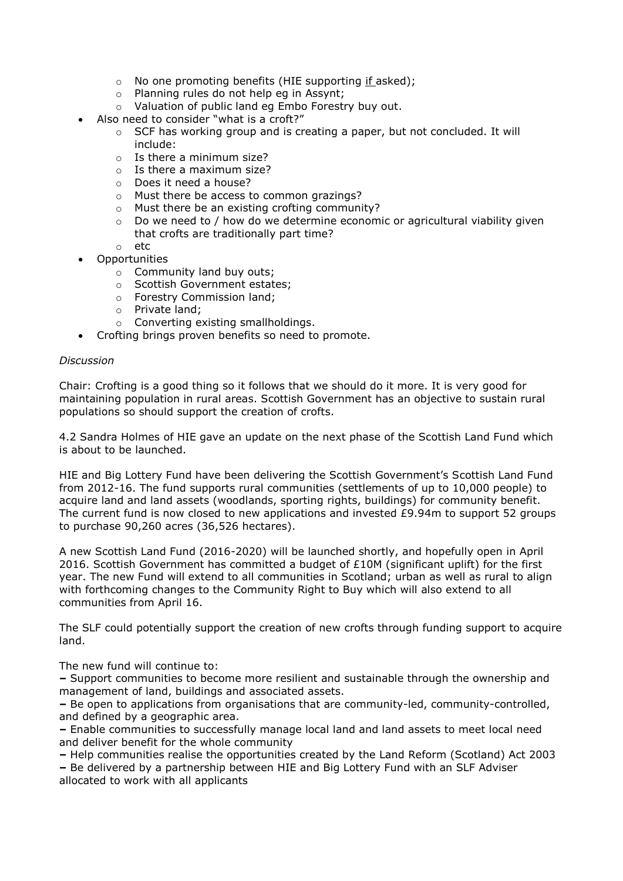- o No one promoting benefits (HIE supporting if asked);
- o Planning rules do not help eg in Assynt;
- o Valuation of public land eg Embo Forestry buy out.
- Also need to consider "what is a croft?"
	- $\circ$  SCF has working group and is creating a paper, but not concluded. It will include:
	- $\circ$  Is there a minimum size?
	- $\circ$  Is there a maximum size?
	- o Does it need a house?
	- o Must there be access to common grazings?
	- o Must there be an existing crofting community?
	- o Do we need to / how do we determine economic or agricultural viability given that crofts are traditionally part time?
	- o etc
- Opportunities
	- o Community land buy outs;
	- o Scottish Government estates;
	- o Forestry Commission land;
	- o Private land;
	- o Converting existing smallholdings.
- Crofting brings proven benefits so need to promote.

### *Discussion*

Chair: Crofting is a good thing so it follows that we should do it more. It is very good for maintaining population in rural areas. Scottish Government has an objective to sustain rural populations so should support the creation of crofts.

4.2 Sandra Holmes of HIE gave an update on the next phase of the Scottish Land Fund which is about to be launched.

HIE and Big Lottery Fund have been delivering the Scottish Government's Scottish Land Fund from 2012-16. The fund supports rural communities (settlements of up to 10,000 people) to acquire land and land assets (woodlands, sporting rights, buildings) for community benefit. The current fund is now closed to new applications and invested £9.94m to support 52 groups to purchase 90,260 acres (36,526 hectares).

A new Scottish Land Fund (2016-2020) will be launched shortly, and hopefully open in April 2016. Scottish Government has committed a budget of  $£10M$  (significant uplift) for the first year. The new Fund will extend to all communities in Scotland; urban as well as rural to align with forthcoming changes to the Community Right to Buy which will also extend to all communities from April 16.

The SLF could potentially support the creation of new crofts through funding support to acquire land.

The new fund will continue to:

**–** Support communities to become more resilient and sustainable through the ownership and management of land, buildings and associated assets.

**–** Be open to applications from organisations that are community-led, community-controlled, and defined by a geographic area.

**–** Enable communities to successfully manage local land and land assets to meet local need and deliver benefit for the whole community

**–** Help communities realise the opportunities created by the Land Reform (Scotland) Act 2003

**–** Be delivered by a partnership between HIE and Big Lottery Fund with an SLF Adviser allocated to work with all applicants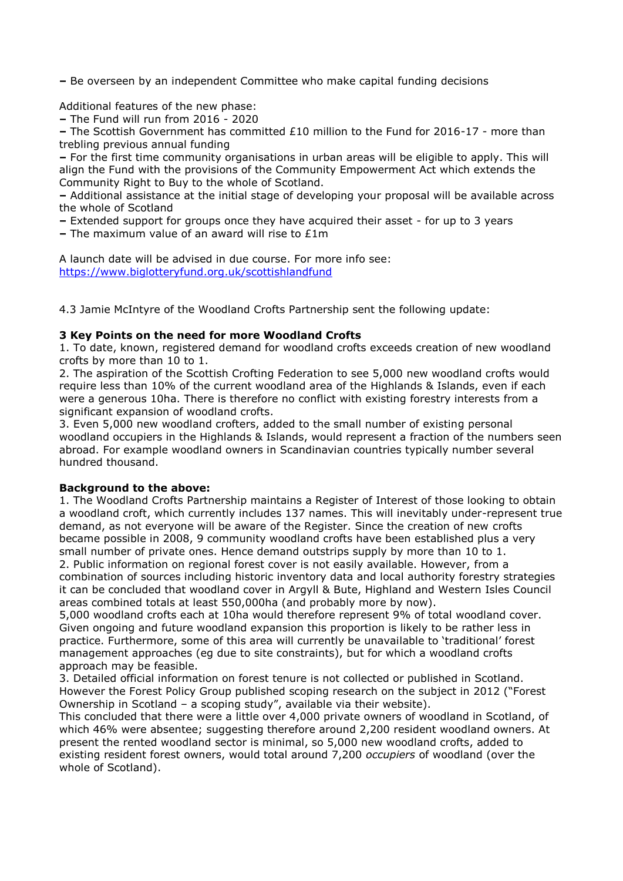**–** Be overseen by an independent Committee who make capital funding decisions

Additional features of the new phase:

**–** The Fund will run from 2016 - 2020

**–** The Scottish Government has committed £10 million to the Fund for 2016-17 - more than trebling previous annual funding

**–** For the first time community organisations in urban areas will be eligible to apply. This will align the Fund with the provisions of the Community Empowerment Act which extends the Community Right to Buy to the whole of Scotland.

**–** Additional assistance at the initial stage of developing your proposal will be available across the whole of Scotland

**–** Extended support for groups once they have acquired their asset - for up to 3 years

**–** The maximum value of an award will rise to £1m

A launch date will be advised in due course. For more info see: <https://www.biglotteryfund.org.uk/scottishlandfund>

4.3 Jamie McIntyre of the Woodland Crofts Partnership sent the following update:

### **3 Key Points on the need for more Woodland Crofts**

1. To date, known, registered demand for woodland crofts exceeds creation of new woodland crofts by more than 10 to 1.

2. The aspiration of the Scottish Crofting Federation to see 5,000 new woodland crofts would require less than 10% of the current woodland area of the Highlands & Islands, even if each were a generous 10ha. There is therefore no conflict with existing forestry interests from a significant expansion of woodland crofts.

3. Even 5,000 new woodland crofters, added to the small number of existing personal woodland occupiers in the Highlands & Islands, would represent a fraction of the numbers seen abroad. For example woodland owners in Scandinavian countries typically number several hundred thousand.

### **Background to the above:**

1. The Woodland Crofts Partnership maintains a Register of Interest of those looking to obtain a woodland croft, which currently includes 137 names. This will inevitably under-represent true demand, as not everyone will be aware of the Register. Since the creation of new crofts became possible in 2008, 9 community woodland crofts have been established plus a very small number of private ones. Hence demand outstrips supply by more than 10 to 1. 2. Public information on regional forest cover is not easily available. However, from a combination of sources including historic inventory data and local authority forestry strategies it can be concluded that woodland cover in Argyll & Bute, Highland and Western Isles Council areas combined totals at least 550,000ha (and probably more by now).

5,000 woodland crofts each at 10ha would therefore represent 9% of total woodland cover. Given ongoing and future woodland expansion this proportion is likely to be rather less in practice. Furthermore, some of this area will currently be unavailable to 'traditional' forest management approaches (eg due to site constraints), but for which a woodland crofts approach may be feasible.

3. Detailed official information on forest tenure is not collected or published in Scotland. However the Forest Policy Group published scoping research on the subject in 2012 ("Forest Ownership in Scotland – a scoping study", available via their website).

This concluded that there were a little over 4,000 private owners of woodland in Scotland, of which 46% were absentee; suggesting therefore around 2,200 resident woodland owners. At present the rented woodland sector is minimal, so 5,000 new woodland crofts, added to existing resident forest owners, would total around 7,200 *occupiers* of woodland (over the whole of Scotland).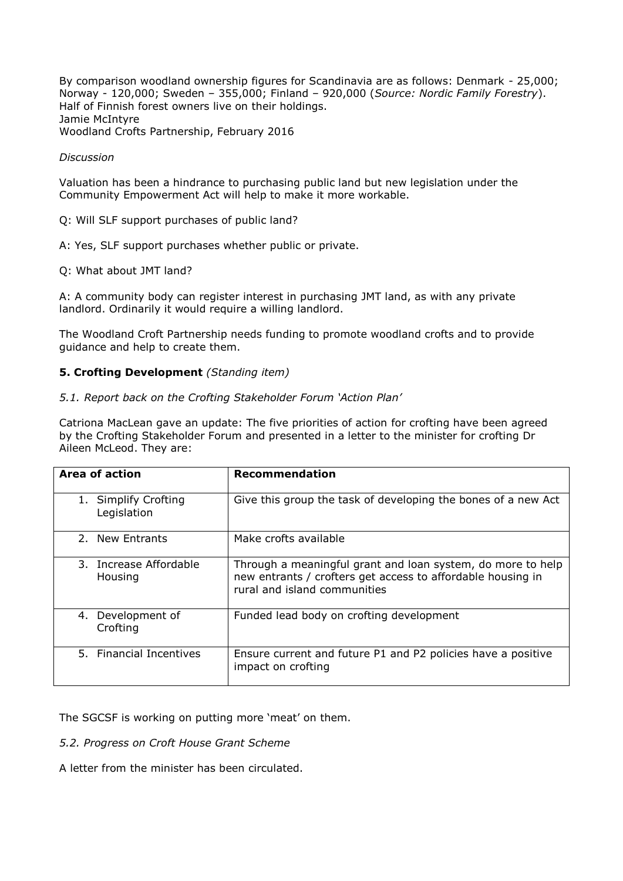By comparison woodland ownership figures for Scandinavia are as follows: Denmark - 25,000; Norway - 120,000; Sweden – 355,000; Finland – 920,000 (*Source: Nordic Family Forestry*). Half of Finnish forest owners live on their holdings. Jamie McIntyre Woodland Crofts Partnership, February 2016

### *Discussion*

Valuation has been a hindrance to purchasing public land but new legislation under the Community Empowerment Act will help to make it more workable.

Q: Will SLF support purchases of public land?

A: Yes, SLF support purchases whether public or private.

Q: What about JMT land?

A: A community body can register interest in purchasing JMT land, as with any private landlord. Ordinarily it would require a willing landlord.

The Woodland Croft Partnership needs funding to promote woodland crofts and to provide guidance and help to create them.

### **5. Crofting Development** *(Standing item)*

### *5.1. Report back on the Crofting Stakeholder Forum 'Action Plan'*

Catriona MacLean gave an update: The five priorities of action for crofting have been agreed by the Crofting Stakeholder Forum and presented in a letter to the minister for crofting Dr Aileen McLeod. They are:

| Area of action                      | <b>Recommendation</b>                                                                                                                                      |
|-------------------------------------|------------------------------------------------------------------------------------------------------------------------------------------------------------|
| 1. Simplify Crofting<br>Legislation | Give this group the task of developing the bones of a new Act                                                                                              |
| 2. New Entrants                     | Make crofts available                                                                                                                                      |
| 3. Increase Affordable<br>Housing   | Through a meaningful grant and loan system, do more to help<br>new entrants / crofters get access to affordable housing in<br>rural and island communities |
| 4. Development of<br>Crofting       | Funded lead body on crofting development                                                                                                                   |
| 5. Financial Incentives             | Ensure current and future P1 and P2 policies have a positive<br>impact on crofting                                                                         |

The SGCSF is working on putting more 'meat' on them.

### *5.2. Progress on Croft House Grant Scheme*

A letter from the minister has been circulated.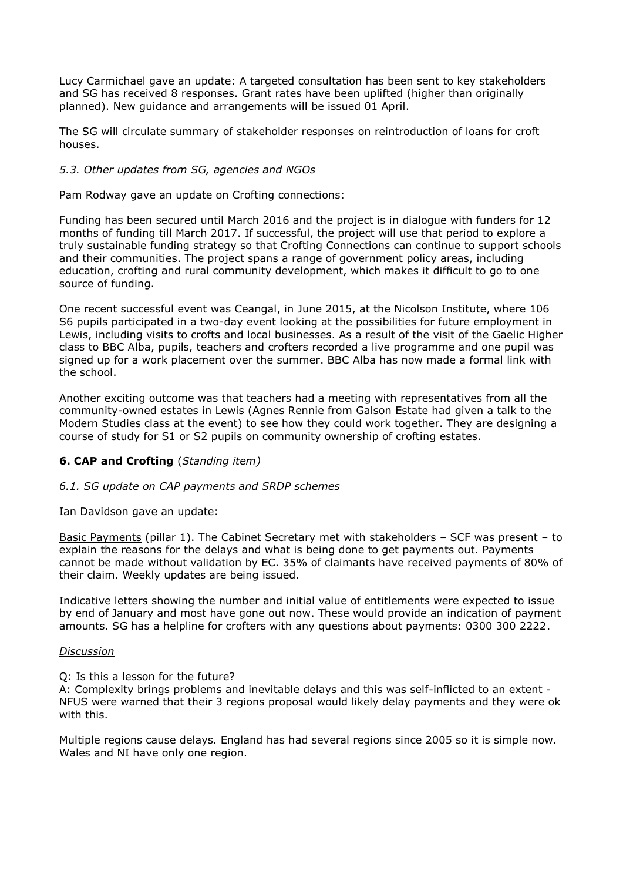Lucy Carmichael gave an update: A targeted consultation has been sent to key stakeholders and SG has received 8 responses. Grant rates have been uplifted (higher than originally planned). New guidance and arrangements will be issued 01 April.

The SG will circulate summary of stakeholder responses on reintroduction of loans for croft houses.

### *5.3. Other updates from SG, agencies and NGOs*

Pam Rodway gave an update on Crofting connections:

Funding has been secured until March 2016 and the project is in dialogue with funders for 12 months of funding till March 2017. If successful, the project will use that period to explore a truly sustainable funding strategy so that Crofting Connections can continue to support schools and their communities. The project spans a range of government policy areas, including education, crofting and rural community development, which makes it difficult to go to one source of funding.

One recent successful event was Ceangal, in June 2015, at the Nicolson Institute, where 106 S6 pupils participated in a two-day event looking at the possibilities for future employment in Lewis, including visits to crofts and local businesses. As a result of the visit of the Gaelic Higher class to BBC Alba, pupils, teachers and crofters recorded a live programme and one pupil was signed up for a work placement over the summer. BBC Alba has now made a formal link with the school.

Another exciting outcome was that teachers had a meeting with representatives from all the community-owned estates in Lewis (Agnes Rennie from Galson Estate had given a talk to the Modern Studies class at the event) to see how they could work together. They are designing a course of study for S1 or S2 pupils on community ownership of crofting estates.

# **6. CAP and Crofting** (*Standing item)*

### *6.1. SG update on CAP payments and SRDP schemes*

Ian Davidson gave an update:

Basic Payments (pillar 1). The Cabinet Secretary met with stakeholders – SCF was present – to explain the reasons for the delays and what is being done to get payments out. Payments cannot be made without validation by EC. 35% of claimants have received payments of 80% of their claim. Weekly updates are being issued.

Indicative letters showing the number and initial value of entitlements were expected to issue by end of January and most have gone out now. These would provide an indication of payment amounts. SG has a helpline for crofters with any questions about payments: 0300 300 2222.

#### *Discussion*

Q: Is this a lesson for the future?

A: Complexity brings problems and inevitable delays and this was self-inflicted to an extent - NFUS were warned that their 3 regions proposal would likely delay payments and they were ok with this.

Multiple regions cause delays. England has had several regions since 2005 so it is simple now. Wales and NI have only one region.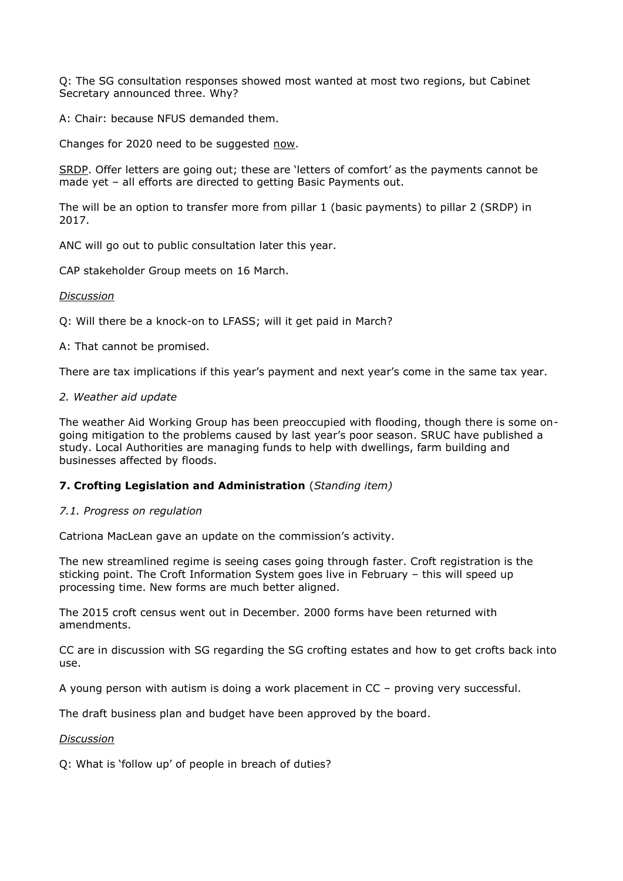Q: The SG consultation responses showed most wanted at most two regions, but Cabinet Secretary announced three. Why?

A: Chair: because NFUS demanded them.

Changes for 2020 need to be suggested now.

SRDP. Offer letters are going out; these are 'letters of comfort' as the payments cannot be made yet – all efforts are directed to getting Basic Payments out.

The will be an option to transfer more from pillar 1 (basic payments) to pillar 2 (SRDP) in 2017.

ANC will go out to public consultation later this year.

CAP stakeholder Group meets on 16 March.

### *Discussion*

Q: Will there be a knock-on to LFASS; will it get paid in March?

A: That cannot be promised.

There are tax implications if this year's payment and next year's come in the same tax year.

### *2. Weather aid update*

The weather Aid Working Group has been preoccupied with flooding, though there is some ongoing mitigation to the problems caused by last year's poor season. SRUC have published a study. Local Authorities are managing funds to help with dwellings, farm building and businesses affected by floods.

# **7. Crofting Legislation and Administration** (*Standing item)*

### *7.1. Progress on regulation*

Catriona MacLean gave an update on the commission's activity.

The new streamlined regime is seeing cases going through faster. Croft registration is the sticking point. The Croft Information System goes live in February – this will speed up processing time. New forms are much better aligned.

The 2015 croft census went out in December. 2000 forms have been returned with amendments.

CC are in discussion with SG regarding the SG crofting estates and how to get crofts back into use.

A young person with autism is doing a work placement in CC – proving very successful.

The draft business plan and budget have been approved by the board.

### *Discussion*

Q: What is 'follow up' of people in breach of duties?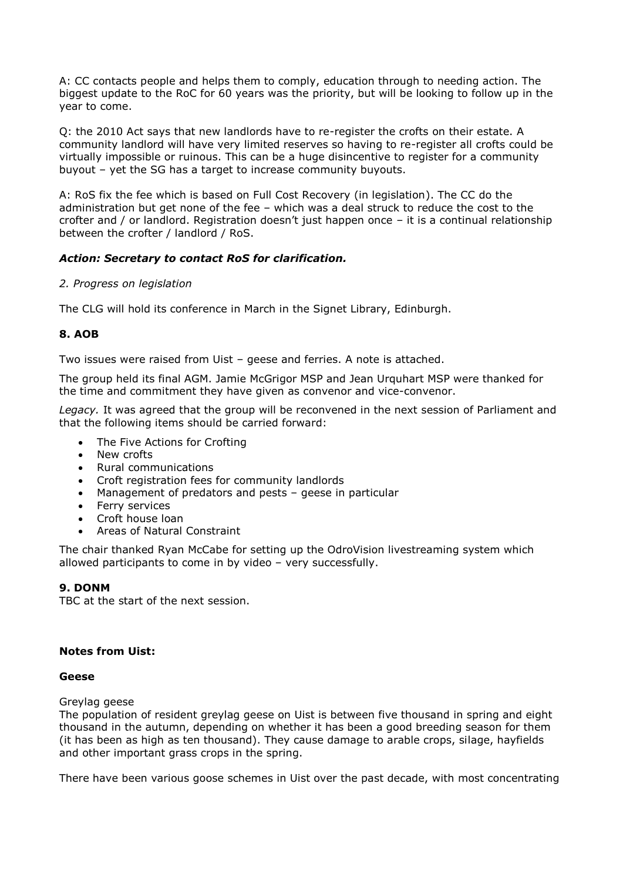A: CC contacts people and helps them to comply, education through to needing action. The biggest update to the RoC for 60 years was the priority, but will be looking to follow up in the year to come.

Q: the 2010 Act says that new landlords have to re-register the crofts on their estate. A community landlord will have very limited reserves so having to re-register all crofts could be virtually impossible or ruinous. This can be a huge disincentive to register for a community buyout – yet the SG has a target to increase community buyouts.

A: RoS fix the fee which is based on Full Cost Recovery (in legislation). The CC do the administration but get none of the fee – which was a deal struck to reduce the cost to the crofter and / or landlord. Registration doesn't just happen once – it is a continual relationship between the crofter / landlord / RoS.

### *Action: Secretary to contact RoS for clarification.*

### *2. Progress on legislation*

The CLG will hold its conference in March in the Signet Library, Edinburgh.

### **8. AOB**

Two issues were raised from Uist – geese and ferries. A note is attached.

The group held its final AGM. Jamie McGrigor MSP and Jean Urquhart MSP were thanked for the time and commitment they have given as convenor and vice-convenor.

*Legacy.* It was agreed that the group will be reconvened in the next session of Parliament and that the following items should be carried forward:

- The Five Actions for Crofting
- New crofts
- Rural communications
- Croft registration fees for community landlords
- Management of predators and pests geese in particular
- Ferry services
- Croft house loan
- Areas of Natural Constraint

The chair thanked Ryan McCabe for setting up the OdroVision livestreaming system which allowed participants to come in by video – very successfully.

# **9. DONM**

TBC at the start of the next session.

### **Notes from Uist:**

### **Geese**

Greylag geese

The population of resident greylag geese on Uist is between five thousand in spring and eight thousand in the autumn, depending on whether it has been a good breeding season for them (it has been as high as ten thousand). They cause damage to arable crops, silage, hayfields and other important grass crops in the spring.

There have been various goose schemes in Uist over the past decade, with most concentrating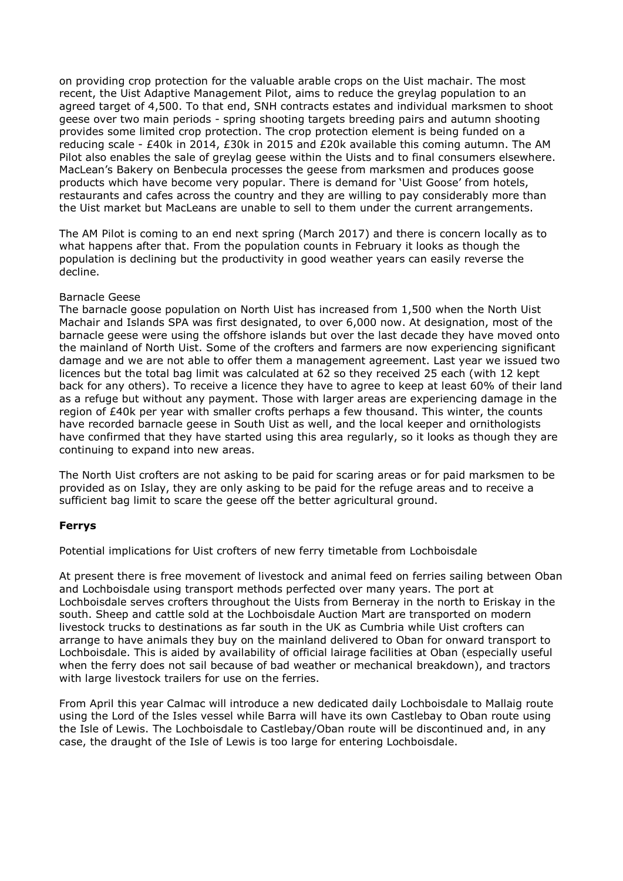on providing crop protection for the valuable arable crops on the Uist machair. The most recent, the Uist Adaptive Management Pilot, aims to reduce the greylag population to an agreed target of 4,500. To that end, SNH contracts estates and individual marksmen to shoot geese over two main periods - spring shooting targets breeding pairs and autumn shooting provides some limited crop protection. The crop protection element is being funded on a reducing scale - £40k in 2014, £30k in 2015 and £20k available this coming autumn. The AM Pilot also enables the sale of greylag geese within the Uists and to final consumers elsewhere. MacLean's Bakery on Benbecula processes the geese from marksmen and produces goose products which have become very popular. There is demand for 'Uist Goose' from hotels, restaurants and cafes across the country and they are willing to pay considerably more than the Uist market but MacLeans are unable to sell to them under the current arrangements.

The AM Pilot is coming to an end next spring (March 2017) and there is concern locally as to what happens after that. From the population counts in February it looks as though the population is declining but the productivity in good weather years can easily reverse the decline.

### Barnacle Geese

The barnacle goose population on North Uist has increased from 1,500 when the North Uist Machair and Islands SPA was first designated, to over 6,000 now. At designation, most of the barnacle geese were using the offshore islands but over the last decade they have moved onto the mainland of North Uist. Some of the crofters and farmers are now experiencing significant damage and we are not able to offer them a management agreement. Last year we issued two licences but the total bag limit was calculated at 62 so they received 25 each (with 12 kept back for any others). To receive a licence they have to agree to keep at least 60% of their land as a refuge but without any payment. Those with larger areas are experiencing damage in the region of £40k per year with smaller crofts perhaps a few thousand. This winter, the counts have recorded barnacle geese in South Uist as well, and the local keeper and ornithologists have confirmed that they have started using this area regularly, so it looks as though they are continuing to expand into new areas.

The North Uist crofters are not asking to be paid for scaring areas or for paid marksmen to be provided as on Islay, they are only asking to be paid for the refuge areas and to receive a sufficient bag limit to scare the geese off the better agricultural ground.

### **Ferrys**

Potential implications for Uist crofters of new ferry timetable from Lochboisdale

At present there is free movement of livestock and animal feed on ferries sailing between Oban and Lochboisdale using transport methods perfected over many years. The port at Lochboisdale serves crofters throughout the Uists from Berneray in the north to Eriskay in the south. Sheep and cattle sold at the Lochboisdale Auction Mart are transported on modern livestock trucks to destinations as far south in the UK as Cumbria while Uist crofters can arrange to have animals they buy on the mainland delivered to Oban for onward transport to Lochboisdale. This is aided by availability of official lairage facilities at Oban (especially useful when the ferry does not sail because of bad weather or mechanical breakdown), and tractors with large livestock trailers for use on the ferries.

From April this year Calmac will introduce a new dedicated daily Lochboisdale to Mallaig route using the Lord of the Isles vessel while Barra will have its own Castlebay to Oban route using the Isle of Lewis. The Lochboisdale to Castlebay/Oban route will be discontinued and, in any case, the draught of the Isle of Lewis is too large for entering Lochboisdale.